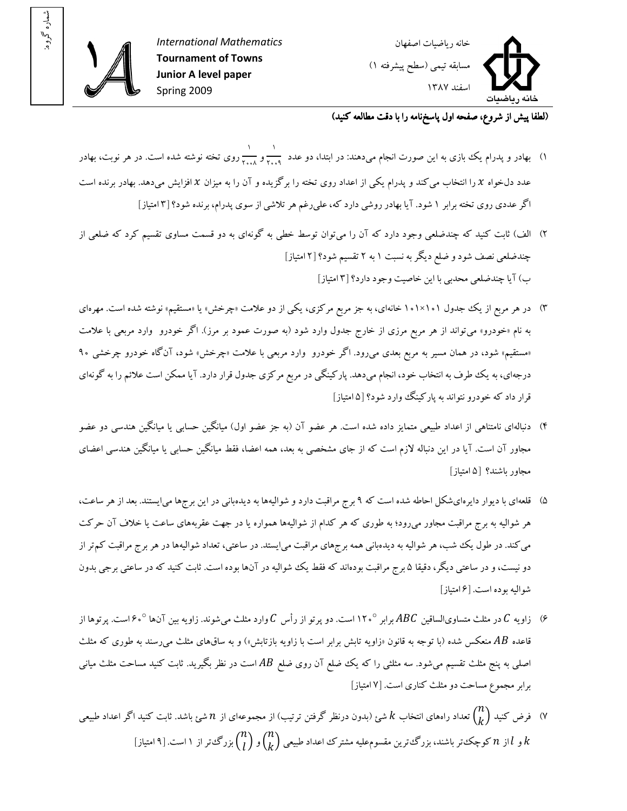

: شماره گروه



(لطفا پيش از شروع، صفحه اول پاسخ نامه را با دقت مطالعه کنيد)

- ۱<sub>)</sub><br>۱) بهادر و پدرام يک بازى به اين صورت انجام مىدهند: در ابتدا، دو عدد پس ۱<br>۲۰۰۹ گمو <sub>۲۰۰۸</sub> روی تخته نوشته شده است. در هر نوبت، بهادر<br>۲۰۰۸ عدد دلخواه x را انتخاب مي کند و پدرام يکي از اعداد روى تخته را برگزيده و آن را به ميزان x افزايش مىدهد. بهادر برنده است اگر عددي روي تخته برابر ۱ شود. آيا بهادر روشي دارد که، علي(غم هر تلاشي از سوي پدرام، برنده شود؟ [۳ امتياز]
- ۲) الف) ثابت کنيد که چندضلعي وجود دارد که آن را مي توان توسط خطي به گونهاي به دو قسمت مساوي تقسيم کرد که ضلعي از چندضلعی نصف شود و ضلع ديگر به نسبت ۱ به ۲ تقسيم شود؟ [۲ امتياز] ب) آيا چندضلعي محدبي با اين خاصيت وجود دارد؟ [٣ امتياز]
- ۳) در هر مربع از یک جدول ۱۰۱×۱۰۱ خانهای، به جز مربع مرکزی، یکی از دو علامت «چرخش» یا «مستقیم» نوشته شده است. مهرهای به نام «خودرو» ميتواند از هر مربع مرزى از خارج جدول وارد شود (به صورت عمود بر مرز). اگر خودرو وارد مربعي با علامت «مستقيم» شود، در همان مسير به مربع بعدى مي رود. اگر خودرو وارد مربعي با علامت «چرخش» شود، آنگاه خودرو چرخشي ۹۰ درجهای، به يک طرف به انتخاب خود، انجام ميدهد. پارکينگي در مربع مرکزي جدول قرار دارد. آيا ممکن است علائم را به گونهاي قرار داد که خودرو نتواند به پارکينگ وارد شود؟ ۵[ امتياز]
- ۴) دنبالهای نامتناهی از اعداد طبیعی متمایز داده شده است. هر عضو آن (به جز عضو اول) میانگین حسابی یا میانگین هندسی دو عضو مجاور آن است. آيا در اين دنباله لازم است که از جای مشخصی به بعد، همه اعضا، فقط ميانگين حسابی يا ميانگين هندسی اعضای مجاور باشند؟ ۵[ امتياز]
- ۵) قلعه ای با ديوار دايرهایشکل احاطه شده است که ۹ برج مراقبت دارد و شواليهها به ديدهبانی در اين برجها می|يستند. بعد از هر ساعت، هر شواليه به برج مراقبت مجاور مي رود؛ به طوري که هر کدام از شواليهها همواره يا در جهت عقربههاي ساعت يا خلاف آن حرکت مي کند. در طول يک شب، هر شواليه به ديدهباني همه برجهاي مراقبت مي|يستد. در ساعتي، تعداد شواليهها در هر برج مراقبت کم تر از دو نيست، و در ساعتي ديگر، دقيقا ۵ برج مراقبت بودهاند که فقط يک شواليه در آنها بوده است. ثابت کنيد که در ساعتي برجي بدون شواليه بوده است. [۶] امتياز]
- وارد مثلث متساوی الساقین  $ABC$  برابر  $\sim$  ۱۲۰ است. دو پرتو از رأس  $C$  وارد مثلث می $\#$ وند. زاویه بین آنها  $\sim$ ۶ است. پرتوها از  $\#$ قاعده  $AB$  منعکس شده (با توجه به قانون «زاویه تابش برابر است با زاویه بازتابش») و به ساق،های مثلث می $\mu$ سند به طوری که مثلث اصلی به پنج مثلث تقسیم می شود. سه مثلثی را که یک ضلع آن روی ضلع  $AB$  است در نظر بگیرید. ثابت کنید مساحت مثلث میانی برابر مجموع مساحت دو مثلث کنار ي است ۷[ . امتياز]
- $\displaystyle\binom{n}{k}$  فرض کنید  $\displaystyle\binom{n}{k}$ تعداد راههای انتخاب  $k$  شئ (بدون درنظر گرفتن ترتيب) از مجموعهای از  $n$  شئ باشد. ثابت کنيد اگر اعداد طبيعي  $\binom{n}{k}$  ${n \choose k}$ و  $l$  از  $n$  کوچک تر باشند، بزرگ ترين مقسوم $\epsilon$ ليه مشترک اعداد طبيعي  $k$  $\binom{n}{l}$ ,  $\binom{n}{k}$ بزرگ $\mathbb{P}$  بزرگتر از ۱ است. $\lceil \ell \rceil$  امتیاز)